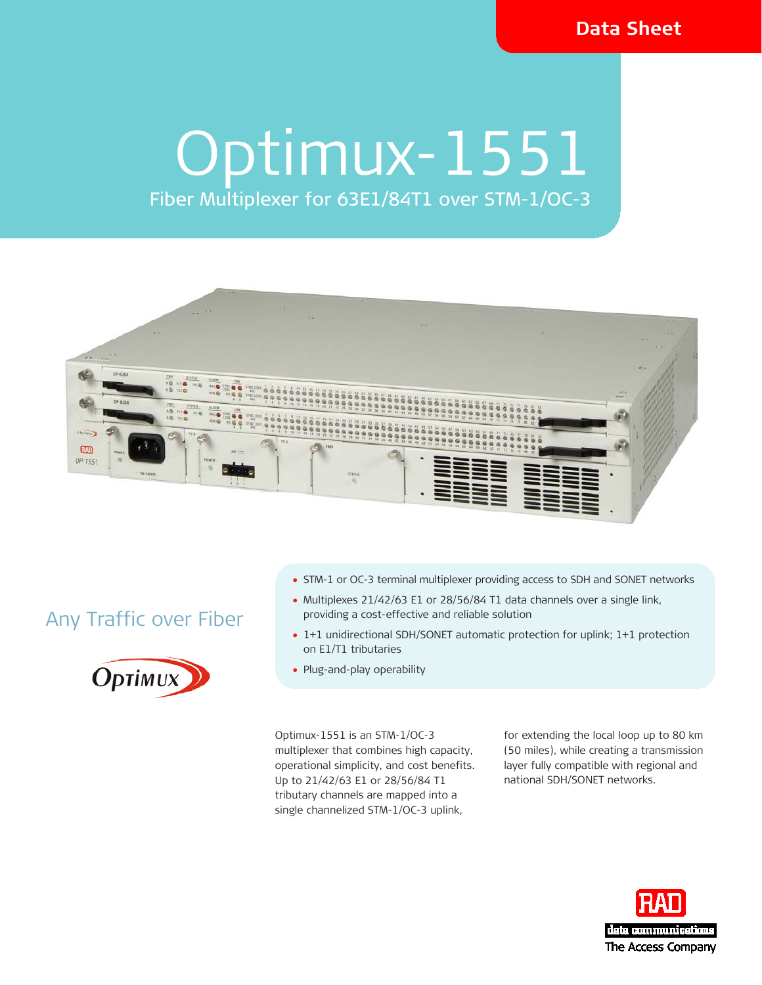### **Data Sheet**

# Optimux-1551

# Fiber Multiplexer for 63E1/84T1 over STM-1/OC-3



## Any Traffic over Fiber



- STM-1 or OC-3 terminal multiplexer providing access to SDH and SONET networks
- Multiplexes 21/42/63 E1 or 28/56/84 T1 data channels over a single link, providing a cost-effective and reliable solution
- 1+1 unidirectional SDH/SONET automatic protection for uplink; 1+1 protection on E1/T1 tributaries
- Plug-and-play operability

Optimux-1551 is an STM-1/OC-3 multiplexer that combines high capacity, operational simplicity, and cost benefits. Up to 21/42/63 E1 or 28/56/84 T1 tributary channels are mapped into a single channelized STM-1/OC-3 uplink,

for extending the local loop up to 80 km (50 miles), while creating a transmission layer fully compatible with regional and national SDH/SONET networks.

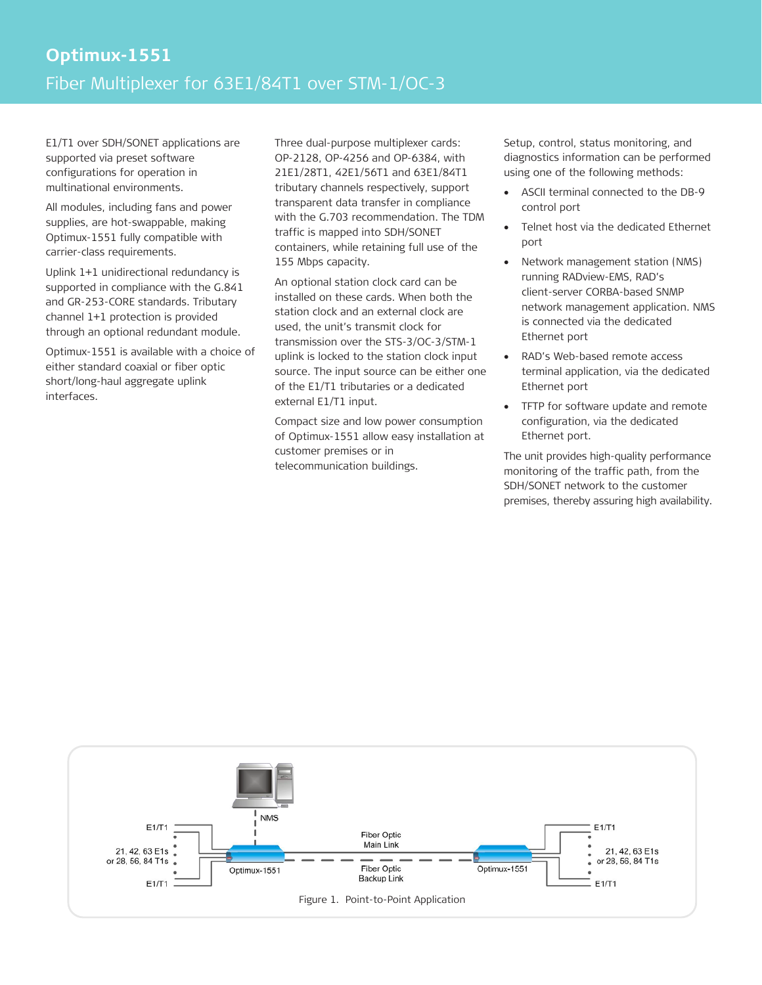E1/T1 over SDH/SONET applications are supported via preset software configurations for operation in multinational environments.

All modules, including fans and power supplies, are hot-swappable, making Optimux-1551 fully compatible with carrier-class requirements.

Uplink 1+1 unidirectional redundancy is supported in compliance with the G.841 and GR-253-CORE standards. Tributary channel 1+1 protection is provided through an optional redundant module.

Optimux-1551 is available with a choice of either standard coaxial or fiber optic short/long-haul aggregate uplink interfaces.

Three dual-purpose multiplexer cards: OP-2128, OP-4256 and OP-6384, with 21E1/28T1, 42E1/56T1 and 63E1/84T1 tributary channels respectively, support transparent data transfer in compliance with the G.703 recommendation. The TDM traffic is mapped into SDH/SONET containers, while retaining full use of the 155 Mbps capacity.

An optional station clock card can be installed on these cards. When both the station clock and an external clock are used, the unit's transmit clock for transmission over the STS-3/OC-3/STM-1 uplink is locked to the station clock input source. The input source can be either one of the E1/T1 tributaries or a dedicated external E1/T1 input.

Compact size and low power consumption of Optimux-1551 allow easy installation at customer premises or in telecommunication buildings.

Setup, control, status monitoring, and diagnostics information can be performed using one of the following methods:

- ASCII terminal connected to the DB-9 control port
- Telnet host via the dedicated Ethernet port
- Network management station (NMS) running RADview-EMS, RAD's client-server CORBA-based SNMP network management application. NMS is connected via the dedicated Ethernet port
- RAD's Web-based remote access terminal application, via the dedicated Ethernet port
- TFTP for software update and remote configuration, via the dedicated Ethernet port.

The unit provides high-quality performance monitoring of the traffic path, from the SDH/SONET network to the customer premises, thereby assuring high availability.

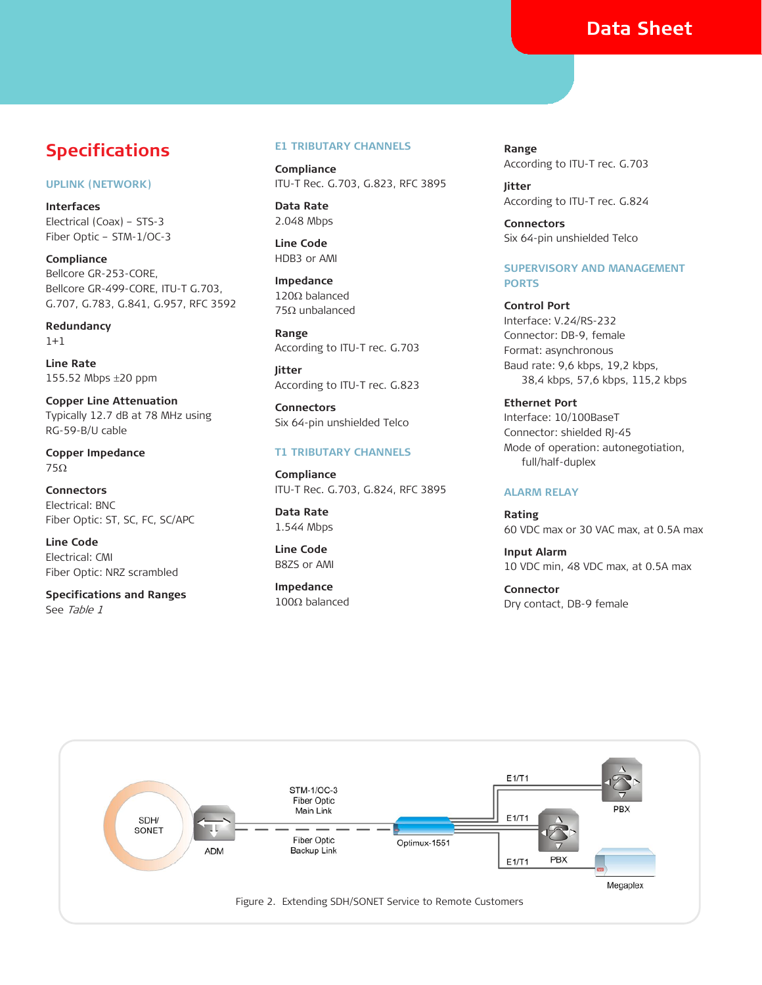### **Data Sheet**

### **Specifications**

### **UPLINK (NETWORK)**

**Interfaces** Electrical (Coax) – STS-3 Fiber Optic – STM-1/OC-3

**Compliance** Bellcore GR-253-CORE, Bellcore GR-499-CORE, ITU-T G.703, G.707, G.783, G.841, G.957, RFC 3592

**Redundancy** 1+1

**Line Rate** 155.52 Mbps ±20 ppm

**Copper Line Attenuation** Typically 12.7 dB at 78 MHz using RG-59-B/U cable

**Copper Impedance** 75Ω

**Connectors** Electrical: BNC Fiber Optic: ST, SC, FC, SC/APC

**Line Code** Electrical: CMI Fiber Optic: NRZ scrambled

**Specifications and Ranges** See Table 1

#### **E1 TRIBUTARY CHANNELS**

**Compliance** ITU-T Rec. G.703, G.823, RFC 3895

**Data Rate** 2.048 Mbps

**Line Code** HDB3 or AMI

**Impedance** 120Ω balanced 75Ω unbalanced

**Range** According to ITU-T rec. G.703

**Jitter** According to ITU-T rec. G.823

**Connectors** Six 64-pin unshielded Telco

### **T1 TRIBUTARY CHANNELS**

**Compliance** ITU-T Rec. G.703, G.824, RFC 3895

**Data Rate** 1.544 Mbps

**Line Code** B8ZS or AMI

**Impedance** 100Ω balanced

**Range** According to ITU-T rec. G.703

**Jitter** According to ITU-T rec. G.824

**Connectors** Six 64-pin unshielded Telco

### **SUPERVISORY AND MANAGEMENT PORTS**

**Control Port** Interface: V.24/RS-232 Connector: DB-9, female Format: asynchronous Baud rate: 9,6 kbps, 19,2 kbps, 38,4 kbps, 57,6 kbps, 115,2 kbps

**Ethernet Port** Interface: 10/100BaseT Connector: shielded RJ-45 Mode of operation: autonegotiation, full/half-duplex

### **ALARM RELAY**

**Rating** 60 VDC max or 30 VAC max, at 0.5A max

**Input Alarm** 10 VDC min, 48 VDC max, at 0.5A max

**Connector** Dry contact, DB-9 female

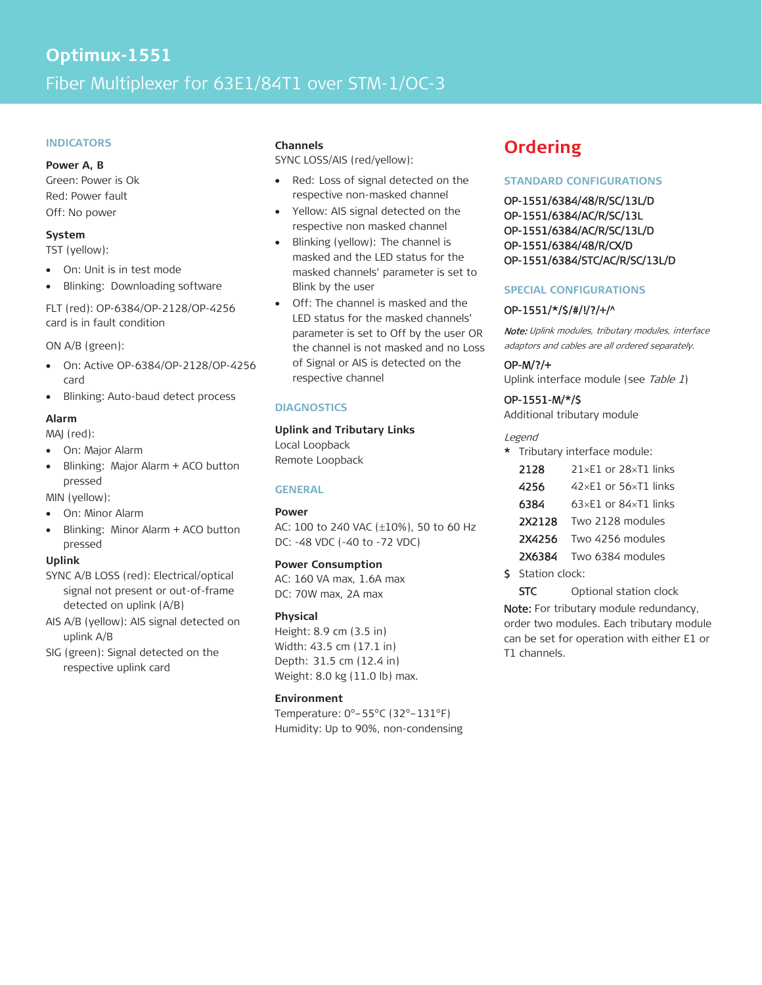#### **INDICATORS**

#### **Power A, B**

Green: Power is Ok Red: Power fault Off: No power

### **System**

TST (yellow):

- On: Unit is in test mode
- Blinking: Downloading software

### FLT (red): OP-6384/OP-2128/OP-4256 card is in fault condition

ON A/B (green):

- On: Active OP-6384/OP-2128/OP-4256 card
- Blinking: Auto-baud detect process

### **Alarm**

MAJ (red):

- On: Major Alarm
- Blinking: Major Alarm + ACO button pressed

MIN (yellow):

- On: Minor Alarm
- Blinking: Minor Alarm + ACO button pressed

### **Uplink**

- SYNC A/B LOSS (red): Electrical/optical signal not present or out-of-frame detected on uplink (A/B)
- AIS A/B (yellow): AIS signal detected on uplink A/B
- SIG (green): Signal detected on the respective uplink card

### **Channels**

SYNC LOSS/AIS (red/yellow):

- Red: Loss of signal detected on the respective non-masked channel
- Yellow: AIS signal detected on the respective non masked channel
- Blinking (yellow): The channel is masked and the LED status for the masked channels' parameter is set to Blink by the user
- Off: The channel is masked and the LED status for the masked channels' parameter is set to Off by the user OR the channel is not masked and no Loss of Signal or AIS is detected on the respective channel

### **DIAGNOSTICS**

### **Uplink and Tributary Links**

Local Loopback Remote Loopback

### **GENERAL**

### **Power**

AC: 100 to 240 VAC (±10%), 50 to 60 Hz DC: -48 VDC (-40 to -72 VDC)

### **Power Consumption**

AC: 160 VA max, 1.6A max DC: 70W max, 2A max

### **Physical**

Height: 8.9 cm (3.5 in) Width: 43.5 cm (17.1 in) Depth: 31.5 cm (12.4 in) Weight: 8.0 kg (11.0 lb) max.

### **Environment**

Temperature: 0°–55°C (32°–131°F) Humidity: Up to 90%, non-condensing

### **Ordering**

### **STANDARD CONFIGURATIONS**

OP-1551/6384/48/R/SC/13L/D OP-1551/6384/AC/R/SC/13L OP-1551/6384/AC/R/SC/13L/D OP-1551/6384/48/R/CX/D OP-1551/6384/STC/AC/R/SC/13L/D

### **SPECIAL CONFIGURATIONS**

### OP-1551/\*/\$/#/!/?/+/^

Note: Uplink modules, tributary modules, interface adaptors and cables are all ordered separately.

### OP-M/?/+

Uplink interface module (see Table 1)

### OP-1551-M/\*/\$

Additional tributary module

### Legend

| * Tributary interface module: |                                      |  |  |  |  |  |  |
|-------------------------------|--------------------------------------|--|--|--|--|--|--|
| 2128                          | $21\times E1$ or $28\times T1$ links |  |  |  |  |  |  |
| 4256                          | 42xE1 or 56xT1 links                 |  |  |  |  |  |  |
| 6384                          | 63×E1 or 84×T1 links                 |  |  |  |  |  |  |
| Two 2128 modules<br>2X2128    |                                      |  |  |  |  |  |  |

- 2X4256 Two 4256 modules
- 2X6384 Two 6384 modules
- \$ Station clock:

STC Optional station clock

Note: For tributary module redundancy, order two modules. Each tributary module can be set for operation with either E1 or T1 channels.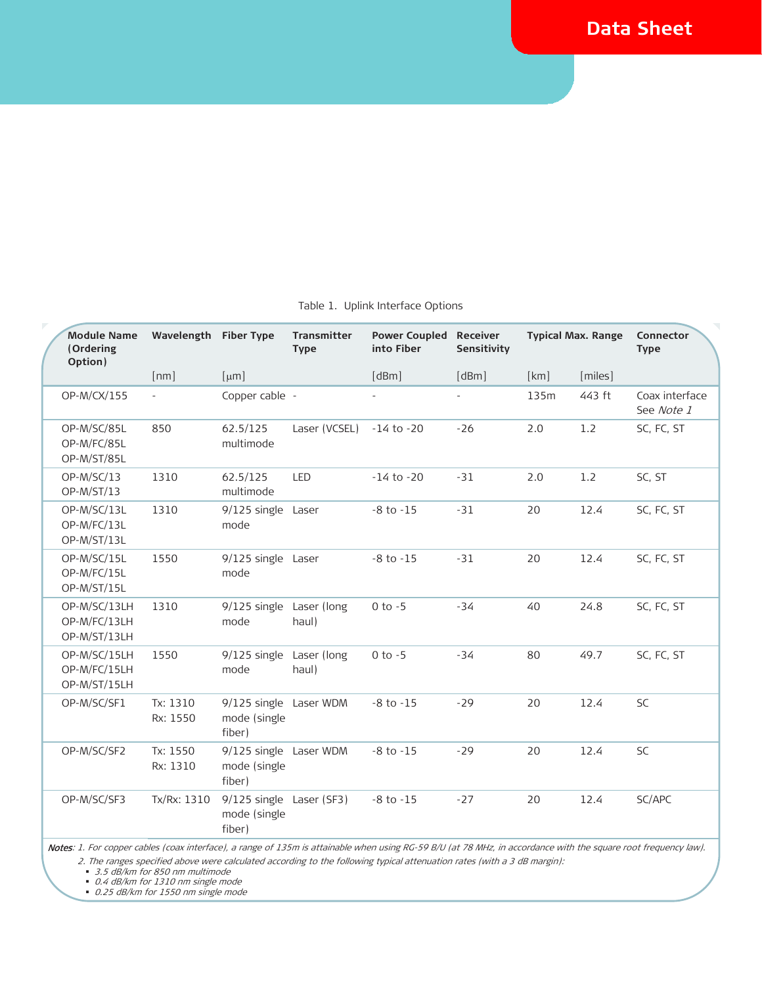| <b>Module Name</b><br>(Ordering<br>Option)   | Wavelength Fiber Type |                                                    | <b>Transmitter</b><br><b>Type</b> | <b>Power Coupled Receiver</b><br>into Fiber | Sensitivity | <b>Typical Max. Range</b> |         | Connector<br><b>Type</b>     |
|----------------------------------------------|-----------------------|----------------------------------------------------|-----------------------------------|---------------------------------------------|-------------|---------------------------|---------|------------------------------|
|                                              | [nm]                  | [µm]                                               |                                   | [dBm]                                       | [dBm]       | [km]                      | [miles] |                              |
| OP-M/CX/155                                  | $\equiv$              | Copper cable -                                     |                                   |                                             |             | 135m                      | 443 ft  | Coax interface<br>See Note 1 |
| OP-M/SC/85L<br>OP-M/FC/85L<br>OP-M/ST/85L    | 850                   | 62.5/125<br>multimode                              | Laser (VCSEL)                     | $-14$ to $-20$                              | $-26$       | 2.0                       | 1.2     | SC, FC, ST                   |
| OP-M/SC/13<br>OP-M/ST/13                     | 1310                  | 62.5/125<br>multimode                              | LED                               | $-14$ to $-20$                              | $-31$       | 2.0                       | 1.2     | SC, ST                       |
| OP-M/SC/13L<br>OP-M/FC/13L<br>OP-M/ST/13L    | 1310                  | 9/125 single Laser<br>mode                         |                                   | $-8$ to $-15$                               | $-31$       | 20                        | 12.4    | SC, FC, ST                   |
| OP-M/SC/15L<br>OP-M/FC/15L<br>OP-M/ST/15L    | 1550                  | 9/125 single Laser<br>mode                         |                                   | $-8$ to $-15$                               | $-31$       | 20                        | 12.4    | SC, FC, ST                   |
| OP-M/SC/13LH<br>OP-M/FC/13LH<br>OP-M/ST/13LH | 1310                  | 9/125 single Laser (long<br>mode                   | haul)                             | $0$ to $-5$                                 | $-34$       | 40                        | 24.8    | SC, FC, ST                   |
| OP-M/SC/15LH<br>OP-M/FC/15LH<br>OP-M/ST/15LH | 1550                  | 9/125 single Laser (long<br>mode                   | haul)                             | $0$ to $-5$                                 | $-34$       | 80                        | 49.7    | SC, FC, ST                   |
| OP-M/SC/SF1                                  | Tx: 1310<br>Rx: 1550  | 9/125 single Laser WDM<br>mode (single<br>fiber)   |                                   | $-8$ to $-15$                               | $-29$       | 20                        | 12.4    | SC                           |
| OP-M/SC/SF2                                  | Tx: 1550<br>Rx: 1310  | 9/125 single Laser WDM<br>mode (single<br>fiber)   |                                   | $-8$ to $-15$                               | $-29$       | 20                        | 12.4    | SC                           |
| OP-M/SC/SF3                                  | Tx/Rx: 1310           | 9/125 single Laser (SF3)<br>mode (single<br>fiber) |                                   | $-8$ to $-15$                               | $-27$       | 20                        | 12.4    | SC/APC                       |

### Table 1. Uplink Interface Options

Notes: 1. For copper cables (coax interface), a range of 135m is attainable when using RG-59 B/U (at 78 MHz, in accordance with the square root frequency law).

2. The ranges specified above were calculated according to the following typical attenuation rates (with a 3 dB margin):

■ *3.5 dB/km for 850 nm multimode* 

0.4 dB/km for 1310 nm single mode

■ 0.25 dB/km for 1550 nm single mode